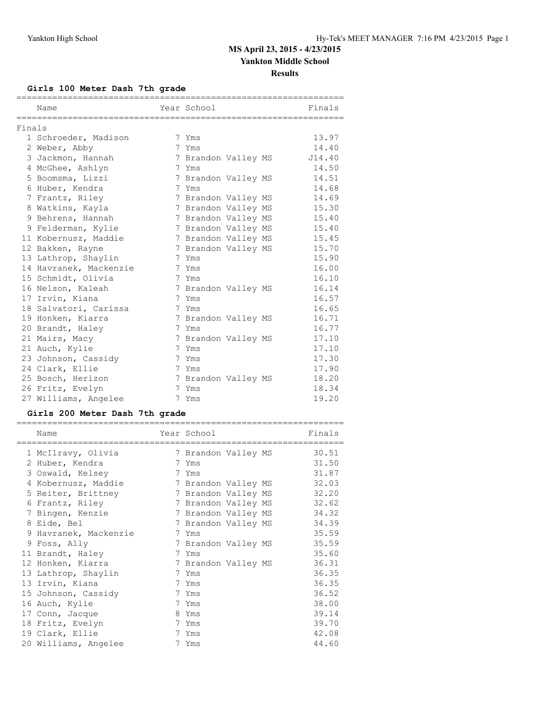### **Girls 100 Meter Dash 7th grade**

|        | Name                   | Year School         |  | Finals |
|--------|------------------------|---------------------|--|--------|
|        |                        |                     |  |        |
| Finals |                        |                     |  |        |
|        | 1 Schroeder, Madison   | 7 Yms               |  | 13.97  |
|        | 2 Weber, Abby          | 7 Yms               |  | 14.40  |
|        | 3 Jackmon, Hannah      | 7 Brandon Valley MS |  | J14.40 |
|        | 4 McGhee, Ashlyn       | 7 Yms               |  | 14.50  |
|        | 5 Boomsma, Lizzi       | 7 Brandon Valley MS |  | 14.51  |
|        | 6 Huber, Kendra        | 7 Yms               |  | 14.68  |
|        | 7 Frantz, Riley        | 7 Brandon Valley MS |  | 14.69  |
|        | 8 Watkins, Kayla       | 7 Brandon Valley MS |  | 15.30  |
|        | 9 Behrens, Hannah      | 7 Brandon Valley MS |  | 15.40  |
|        | 9 Felderman, Kylie     | 7 Brandon Valley MS |  | 15.40  |
|        | 11 Kobernusz, Maddie   | 7 Brandon Valley MS |  | 15.45  |
|        | 12 Bakken, Rayne       | 7 Brandon Valley MS |  | 15.70  |
|        | 13 Lathrop, Shaylin    | 7 Yms               |  | 15.90  |
|        | 14 Havranek, Mackenzie | 7 Yms               |  | 16.00  |
|        | 15 Schmidt, Olivia     | 7 Yms               |  | 16.10  |
|        | 16 Nelson, Kaleah      | 7 Brandon Valley MS |  | 16.14  |
|        | 17 Irvin, Kiana        | 7 Yms               |  | 16.57  |
|        | 18 Salvatori, Carissa  | 7 Yms               |  | 16.65  |
|        | 19 Honken, Kiarra      | 7 Brandon Valley MS |  | 16.71  |
|        | 20 Brandt, Haley       | 7 Yms               |  | 16.77  |
|        | 21 Mairs, Macy         | 7 Brandon Valley MS |  | 17.10  |
|        | 21 Auch, Kylie         | 7 Yms               |  | 17.10  |
|        | 23 Johnson, Cassidy    | 7 Yms               |  | 17.30  |
|        | 24 Clark, Ellie        | 7 Yms               |  | 17.90  |
|        | 25 Bosch, Herizon      | 7 Brandon Valley MS |  | 18.20  |
|        | 26 Fritz, Evelyn       | 7 Yms               |  | 18.34  |
|        | 27 Williams, Angelee   | 7 Yms               |  | 19.20  |

### **Girls 200 Meter Dash 7th grade**

| Name                  | Year School         |  | Finals |
|-----------------------|---------------------|--|--------|
| 1 McIlravy, Olivia    | 7 Brandon Valley MS |  | 30.51  |
| 2 Huber, Kendra       | 7 Yms               |  | 31.50  |
| 3 Oswald, Kelsey      | 7 Yms               |  | 31.87  |
| 4 Kobernusz, Maddie   | 7 Brandon Valley MS |  | 32.03  |
| 5 Reiter, Brittney    | 7 Brandon Valley MS |  | 32.20  |
| 6 Frantz, Riley       | 7 Brandon Valley MS |  | 32.62  |
| 7 Bingen, Kenzie      | 7 Brandon Valley MS |  | 34.32  |
| 8 Eide, Bel           | 7 Brandon Valley MS |  | 34.39  |
| 9 Havranek, Mackenzie | 7 Yms               |  | 35.59  |
| 9 Foss, Ally          | 7 Brandon Valley MS |  | 35.59  |
| 11 Brandt, Haley      | 7 Yms               |  | 35.60  |
| 12 Honken, Kiarra     | 7 Brandon Valley MS |  | 36.31  |
| 13 Lathrop, Shaylin   | 7 Yms               |  | 36.35  |
| 13 Irvin, Kiana       | 7 Yms               |  | 36.35  |
| 15 Johnson, Cassidy   | 7 Yms               |  | 36.52  |
| 16 Auch, Kylie        | 7 Yms               |  | 38.00  |
| 17 Conn, Jacque       | 8 Yms               |  | 39.14  |
| 18 Fritz, Evelyn      | 7 Yms               |  | 39.70  |
| 19 Clark, Ellie       | 7 Yms               |  | 42.08  |
| 20 Williams, Angelee  | 7 Yms               |  | 44.60  |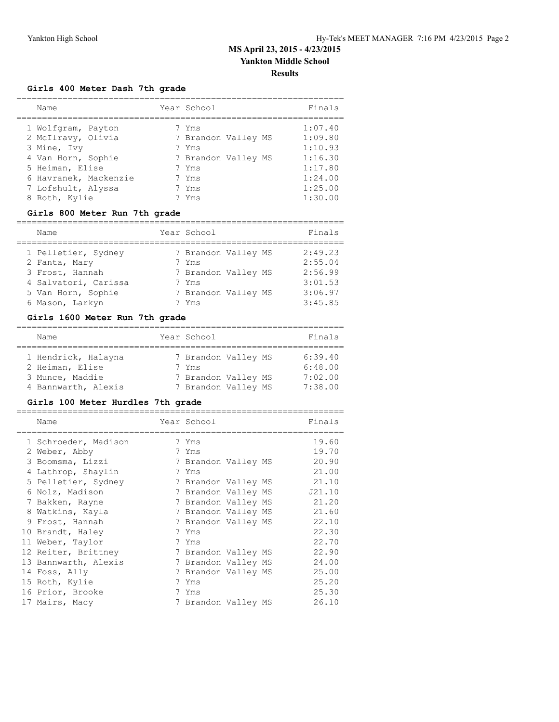### **Girls 400 Meter Dash 7th grade**

| Name                  | Year School         | Finals  |
|-----------------------|---------------------|---------|
| 1 Wolfgram, Payton    | 7 Yms               | 1:07.40 |
| 2 McIlravy, Olivia    | 7 Brandon Valley MS | 1:09.80 |
| 3 Mine, Ivy           | 7 Yms               | 1:10.93 |
| 4 Van Horn, Sophie    | 7 Brandon Valley MS | 1:16.30 |
| 5 Heiman, Elise       | 7 Yms               | 1:17.80 |
| 6 Havranek, Mackenzie | 7 Yms               | 1:24.00 |
| 7 Lofshult, Alyssa    | 7 Yms               | 1:25.00 |
| 8 Roth, Kylie         | 7 Yms               | 1:30.00 |

### **Girls 800 Meter Run 7th grade**

| Name                 | Year School         | Finals  |
|----------------------|---------------------|---------|
| 1 Pelletier, Sydney  | 7 Brandon Valley MS | 2:49.23 |
| 2 Fanta, Mary        | 7 Yms               | 2:55.04 |
| 3 Frost, Hannah      | 7 Brandon Valley MS | 2:56.99 |
| 4 Salvatori, Carissa | 7 Yms               | 3:01.53 |
| 5 Van Horn, Sophie   | 7 Brandon Valley MS | 3:06.97 |
| 6 Mason, Larkyn      | Yms                 | 3:45.85 |

#### **Girls 1600 Meter Run 7th grade**

| Name                                                                             |  | Year School                                                                | Finals                                   |  |  |  |
|----------------------------------------------------------------------------------|--|----------------------------------------------------------------------------|------------------------------------------|--|--|--|
| 1 Hendrick, Halayna<br>2 Heiman, Elise<br>3 Munce, Maddie<br>4 Bannwarth, Alexis |  | 7 Brandon Valley MS<br>7 Yms<br>7 Brandon Valley MS<br>7 Brandon Valley MS | 6:39.40<br>6:48.00<br>7:02.00<br>7:38.00 |  |  |  |

### **Girls 100 Meter Hurdles 7th grade**

| Name                 | Year School         |  | Finals |
|----------------------|---------------------|--|--------|
| 1 Schroeder, Madison | 7 Yms               |  | 19.60  |
| 2 Weber, Abby        | 7 Yms               |  | 19.70  |
| 3 Boomsma, Lizzi     | 7 Brandon Valley MS |  | 20.90  |
| 4 Lathrop, Shaylin   | 7 Yms               |  | 21.00  |
| 5 Pelletier, Sydney  | 7 Brandon Valley MS |  | 21.10  |
| 6 Nolz, Madison      | 7 Brandon Valley MS |  | J21.10 |
| 7 Bakken, Rayne      | 7 Brandon Valley MS |  | 21.20  |
| 8 Watkins, Kayla     | 7 Brandon Valley MS |  | 21.60  |
| 9 Frost, Hannah      | 7 Brandon Valley MS |  | 22.10  |
| 10 Brandt, Haley     | 7 Yms               |  | 22.30  |
| 11 Weber, Taylor     | 7 Yms               |  | 22.70  |
| 12 Reiter, Brittney  | 7 Brandon Valley MS |  | 22.90  |
| 13 Bannwarth, Alexis | 7 Brandon Valley MS |  | 24.00  |
| 14 Foss, Ally        | 7 Brandon Valley MS |  | 25.00  |
| 15 Roth, Kylie       | 7 Yms               |  | 25.20  |
| 16 Prior, Brooke     | 7 Yms               |  | 25.30  |
| 17 Mairs, Macy       | 7 Brandon Valley MS |  | 26.10  |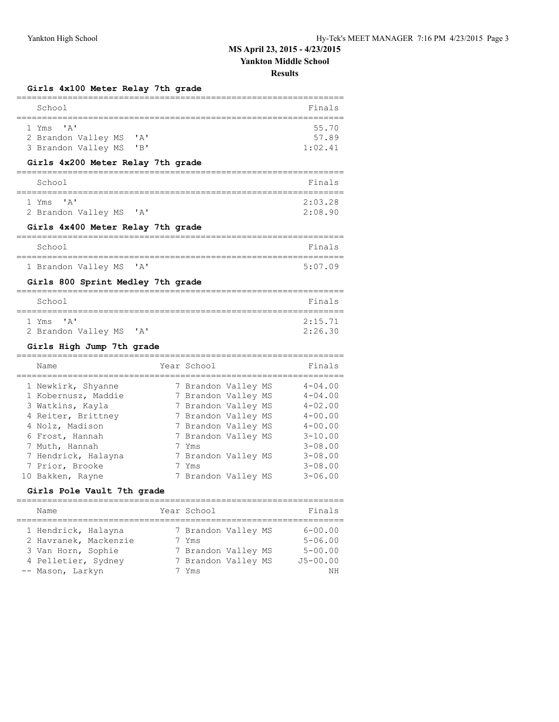# **MS April 23, 2015 - 4/23/2015**

### **Yankton Middle School**

#### **Results**

### **Girls 4x100 Meter Relay 7th grade**

| School                                                                                                                               |                                                                                          | Finals                                                   |
|--------------------------------------------------------------------------------------------------------------------------------------|------------------------------------------------------------------------------------------|----------------------------------------------------------|
| י בי<br>1 Yms<br>2 Brandon Valley MS<br>$^{\prime}$ A $^{\prime}$<br>3 Brandon Valley MS<br>"B"<br>Girls 4x200 Meter Relay 7th grade |                                                                                          | 55.70<br>57.89<br>1:02.41                                |
| ====================<br>School                                                                                                       | ----------                                                                               | Finals                                                   |
| י בי<br>1 Yms<br>2 Brandon Valley MS<br>$^{\prime}$ A $^{\prime}$<br>Girls 4x400 Meter Relay 7th grade                               |                                                                                          | 2:03.28<br>2:08.90                                       |
|                                                                                                                                      |                                                                                          |                                                          |
| School<br>--------------                                                                                                             |                                                                                          | Finals                                                   |
| 1 Brandon Valley MS<br>' A'                                                                                                          |                                                                                          | 5:07.09                                                  |
| Girls 800 Sprint Medley 7th grade                                                                                                    |                                                                                          |                                                          |
| School<br>======================                                                                                                     |                                                                                          | Finals                                                   |
| $\mathsf{I} \wedge \mathsf{I}$<br>1 Yms<br>2 Brandon Valley MS<br>$^{\prime}$ A $^{\prime}$                                          |                                                                                          | 2:15.71<br>2:26.30                                       |
| Girls High Jump 7th grade<br>=========                                                                                               |                                                                                          |                                                          |
| Name                                                                                                                                 | Year School                                                                              | Finals                                                   |
| 1 Newkirk, Shyanne<br>1 Kobernusz, Maddie<br>3 Watkins, Kayla<br>4 Reiter, Brittney                                                  | 7 Brandon Valley MS<br>7 Brandon Valley MS<br>7 Brandon Valley MS<br>7 Brandon Valley MS | $4 - 04.00$<br>$4 - 04.00$<br>$4 - 02.00$<br>$4 - 00.00$ |
| 4 Nolz, Madison<br>6 Frost, Hannah                                                                                                   | 7 Brandon Valley MS<br>7 Brandon Valley MS                                               | $4 - 00.00$<br>$3 - 10.00$                               |

|  | O PIOSL, nailliail  | I DIANUON VAIIEV MS | 3-10.UU     |
|--|---------------------|---------------------|-------------|
|  | 7 Muth, Hannah      | 7 Yms               | $3 - 08.00$ |
|  | 7 Hendrick, Halayna | 7 Brandon Valley MS | $3 - 08.00$ |
|  | 7 Prior, Brooke     | 7 Yms               | $3 - 08.00$ |
|  | 10 Bakken, Rayne    | 7 Brandon Valley MS | $3 - 06.00$ |
|  |                     |                     |             |

### **Girls Pole Vault 7th grade**

| Name                                                                                                          | Year School                                                                         | Finals                                                          |
|---------------------------------------------------------------------------------------------------------------|-------------------------------------------------------------------------------------|-----------------------------------------------------------------|
| 1 Hendrick, Halayna<br>2 Havranek, Mackenzie<br>3 Van Horn, Sophie<br>4 Pelletier, Sydney<br>-- Mason, Larkyn | 7 Brandon Valley MS<br>7 Yms<br>7 Brandon Valley MS<br>7 Brandon Valley MS<br>7 Yms | $6 - 00.00$<br>$5 - 06.00$<br>$5 - 00.00$<br>$J5 - 00.00$<br>ΝH |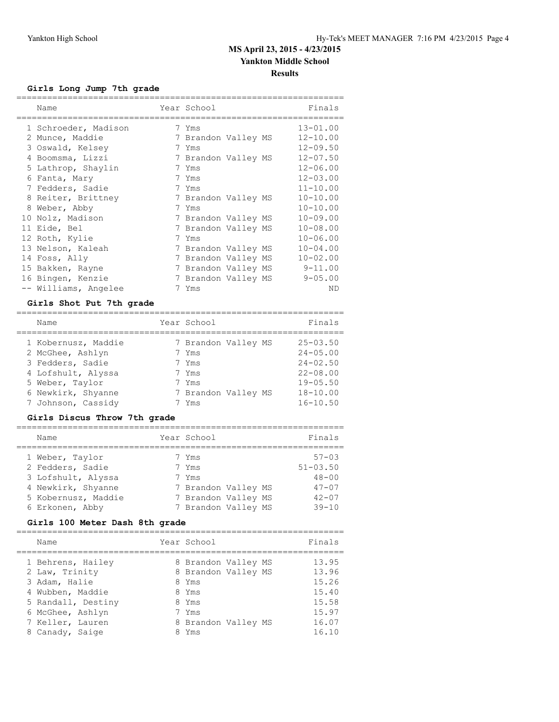### **Girls Long Jump 7th grade**

| Name                 | Year School         |  | Finals       |
|----------------------|---------------------|--|--------------|
| 1 Schroeder, Madison | 7 Yms               |  | $13 - 01.00$ |
| 2 Munce, Maddie      | 7 Brandon Valley MS |  | $12 - 10.00$ |
| 3 Oswald, Kelsey     | 7 Yms               |  | $12 - 09.50$ |
| 4 Boomsma, Lizzi     | 7 Brandon Valley MS |  | $12 - 07.50$ |
| 5 Lathrop, Shaylin   | 7 Yms               |  | $12 - 06.00$ |
| 6 Fanta, Mary        | 7 Yms               |  | $12 - 03.00$ |
| 7 Fedders, Sadie     | 7 Yms               |  | $11 - 10.00$ |
| 8 Reiter, Brittney   | 7 Brandon Valley MS |  | $10 - 10.00$ |
| 8 Weber, Abby        | 7 Yms               |  | $10 - 10.00$ |
| 10 Nolz, Madison     | 7 Brandon Valley MS |  | $10 - 09.00$ |
| 11 Eide, Bel         | 7 Brandon Valley MS |  | $10 - 08.00$ |
| 12 Roth, Kylie       | 7 Yms               |  | $10 - 06.00$ |
| 13 Nelson, Kaleah    | 7 Brandon Valley MS |  | $10 - 04.00$ |
| 14 Foss, Ally        | 7 Brandon Valley MS |  | $10 - 02.00$ |
| 15 Bakken, Rayne     | 7 Brandon Valley MS |  | $9 - 11.00$  |
| 16 Bingen, Kenzie    | 7 Brandon Valley MS |  | $9 - 05.00$  |
| -- Williams, Angelee | 7 Yms               |  | ND           |

#### **Girls Shot Put 7th grade**

| Name                | Year School         | Finals       |
|---------------------|---------------------|--------------|
| 1 Kobernusz, Maddie | 7 Brandon Valley MS | $25 - 03.50$ |
| 2 McGhee, Ashlyn    | 7 Yms               | $24 - 05.00$ |
| 3 Fedders, Sadie    | 7 Yms               | $24 - 02.50$ |
| 4 Lofshult, Alyssa  | 7 Yms               | $22 - 08.00$ |
| 5 Weber, Taylor     | 7 Yms               | $19 - 05.50$ |
| 6 Newkirk, Shyanne  | 7 Brandon Valley MS | $18 - 10.00$ |
| 7 Johnson, Cassidy  | Yms                 | $16 - 10.50$ |

### **Girls Discus Throw 7th grade**

| Name                | Year School         | Finals       |
|---------------------|---------------------|--------------|
| 1 Weber, Taylor     | 7 Yms               | $57 - 0.3$   |
| 2 Fedders, Sadie    | 7 Yms               | $51 - 03.50$ |
| 3 Lofshult, Alyssa  | 7 Yms               | $48 - 00$    |
| 4 Newkirk, Shyanne  | 7 Brandon Valley MS | $47 - 07$    |
| 5 Kobernusz, Maddie | 7 Brandon Valley MS | $42 - 07$    |
| 6 Erkonen, Abby     | 7 Brandon Valley MS | $39 - 10$    |

### **Girls 100 Meter Dash 8th grade**

| Name                                                                                                                                   | Year School                                                                                           | Finals                                                      |
|----------------------------------------------------------------------------------------------------------------------------------------|-------------------------------------------------------------------------------------------------------|-------------------------------------------------------------|
| 1 Behrens, Hailey<br>2 Law, Trinity<br>3 Adam, Halie<br>4 Wubben, Maddie<br>5 Randall, Destiny<br>6 McGhee, Ashlyn<br>7 Keller, Lauren | 8 Brandon Valley MS<br>8 Brandon Valley MS<br>8 Yms<br>8 Yms<br>8 Yms<br>7 Yms<br>8 Brandon Valley MS | 13.95<br>13.96<br>15.26<br>15.40<br>15.58<br>15.97<br>16.07 |
| 8 Canady, Saige                                                                                                                        | 8 Yms                                                                                                 | 16.10                                                       |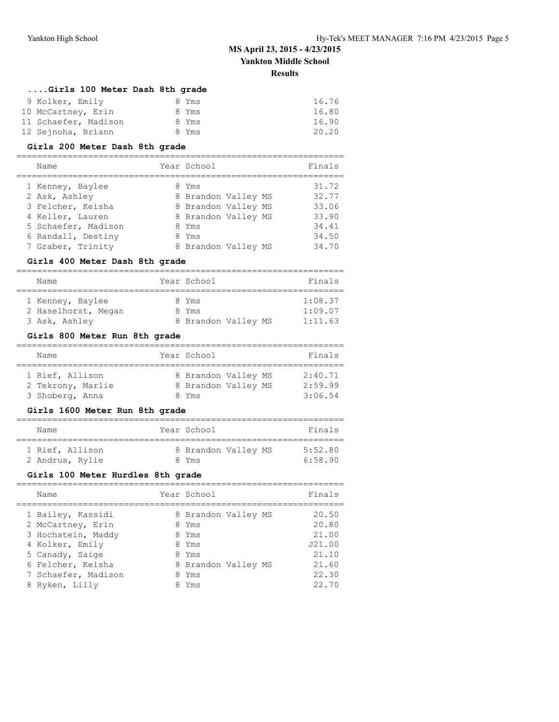#### **Results**

### **....Girls 100 Meter Dash 8th grade**

| 9 Kolker, Emily      | 8 Yms | 16.76 |
|----------------------|-------|-------|
| 10 McCartney, Erin   | 8 Yms | 16.80 |
| 11 Schaefer, Madison | 8 Yms | 16.90 |
| 12 Sejnoha, Briann   | 8 Yms | 20.20 |

#### **Girls 200 Meter Dash 8th grade**

#### ================================================================

| Name                | Year School         | Finals |
|---------------------|---------------------|--------|
| 1 Kenney, Baylee    | 8 Yms               | 31.72  |
| 2 Ask, Ashley       | 8 Brandon Valley MS | 32.77  |
| 3 Felcher, Keisha   | 8 Brandon Valley MS | 33.06  |
| 4 Keller, Lauren    | 8 Brandon Valley MS | 33.90  |
| 5 Schaefer, Madison | 8 Yms               | 34.41  |
| 6 Randall, Destiny  | 8 Yms               | 34.50  |
| 7 Graber, Trinity   | 8 Brandon Valley MS | 34.70  |

#### **Girls 400 Meter Dash 8th grade**

| Name                |  | Year School         | Finals  |  |  |  |
|---------------------|--|---------------------|---------|--|--|--|
|                     |  |                     |         |  |  |  |
| 1 Kenney, Baylee    |  | 8 Yms               | 1:08.37 |  |  |  |
| 2 Haselhorst, Megan |  | 8 Yms               | 1:09.07 |  |  |  |
| 3 Ask, Ashley       |  | 8 Brandon Valley MS | 1:11.63 |  |  |  |

### **Girls 800 Meter Run 8th grade**

| Name              | Year School         | Finals  |
|-------------------|---------------------|---------|
|                   |                     |         |
| 1 Rief, Allison   | 8 Brandon Valley MS | 2:40.71 |
| 2 Tekrony, Marlie | 8 Brandon Valley MS | 2:59.99 |
| 3 Shoberg, Anna   | 8 Yms               | 3:06.54 |

### **Girls 1600 Meter Run 8th grade**

| Name            | Year School         | Finals  |
|-----------------|---------------------|---------|
| 1 Rief, Allison | 8 Brandon Valley MS | 5:52.80 |
| 2 Andrus, Rylie | 8 Yms               | 6:58.90 |

#### **Girls 100 Meter Hurdles 8th grade**

| Name                | Year School         | Finals |
|---------------------|---------------------|--------|
| 1 Bailey, Kassidi   | 8 Brandon Valley MS | 20.50  |
| 2 McCartney, Erin   | 8 Yms               | 20.80  |
| 3 Hochstein, Maddy  | 8 Yms               | 21.00  |
| 4 Kolker, Emily     | 8 Yms               | J21.00 |
| 5 Canady, Saige     | 8 Yms               | 21.10  |
| 6 Felcher, Keisha   | 8 Brandon Valley MS | 21.60  |
| 7 Schaefer, Madison | 8 Yms               | 22.30  |
| 8 Ryken, Lilly      | Yms                 | 22.70  |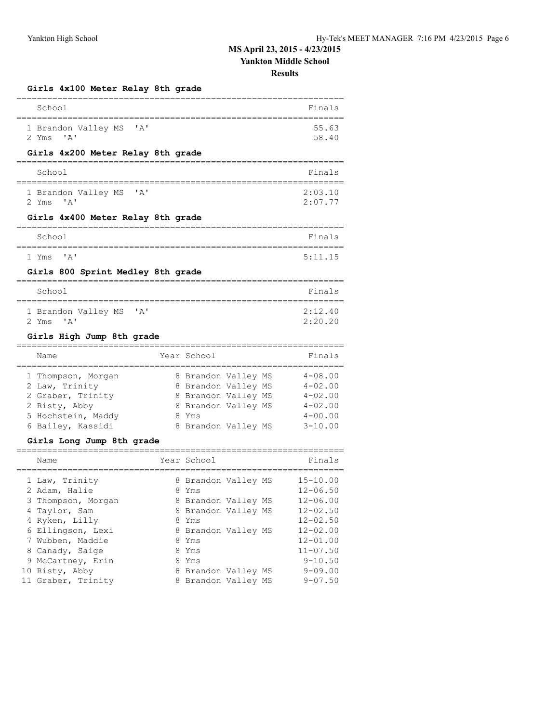**MS April 23, 2015 - 4/23/2015**

**Yankton Middle School**

**Results**

### **Girls 4x100 Meter Relay 8th grade**

| School<br>---------                                                                     |                                                                   |  | Finals                                    |
|-----------------------------------------------------------------------------------------|-------------------------------------------------------------------|--|-------------------------------------------|
| 1 Brandon Valley MS<br>' A'<br>$^{\prime}$ A $^{\prime}$<br>2 Yms                       |                                                                   |  | 55.63<br>58.40                            |
| Girls 4x200 Meter Relay 8th grade                                                       |                                                                   |  |                                           |
| School<br>. _ _ _ _ _ _ _ _ _                                                           |                                                                   |  | Finals                                    |
| 1 Brandon Valley MS<br>' A'<br>$^{\prime}$ A <sup><math>^{\prime}</math></sup><br>2 Yms |                                                                   |  | 2:03.10<br>2:07.77                        |
| Girls 4x400 Meter Relay 8th grade<br>========================                           |                                                                   |  |                                           |
| School                                                                                  |                                                                   |  | Finals                                    |
| $^{\prime}$ A $^{\prime}$<br>1 Yms                                                      |                                                                   |  | 5:11.15                                   |
| Girls 800 Sprint Medley 8th grade                                                       |                                                                   |  |                                           |
| ,,,,,,,,,,,,,,,,                                                                        |                                                                   |  |                                           |
| School<br>====================                                                          | :=======================                                          |  | Finals                                    |
| 1 Brandon Valley MS<br>' A'<br>2 Yms<br>$\mathsf{A}$                                    |                                                                   |  | 2:12.40<br>2:20.20                        |
|                                                                                         |                                                                   |  |                                           |
| Girls High Jump 8th grade                                                               |                                                                   |  |                                           |
| ------------------------------------<br>Name                                            | Year School                                                       |  | ===========<br>Finals                     |
| 1 Thompson, Morgan<br>2 Law, Trinity<br>2 Graber, Trinity                               | 8 Brandon Valley MS<br>8 Brandon Valley MS<br>8 Brandon Valley MS |  | $4 - 08.00$<br>$4 - 02.00$<br>$4 - 02.00$ |
| 2 Risty, Abby                                                                           | 8 Brandon Valley MS                                               |  | $4 - 02.00$                               |
| 5 Hochstein, Maddy                                                                      | 8 Yms                                                             |  | $4 - 00.00$                               |
| 6 Bailey, Kassidi                                                                       | 8 Brandon Valley MS                                               |  | $3 - 10.00$                               |
| Girls Long Jump 8th grade                                                               |                                                                   |  |                                           |
| Name                                                                                    | Year School                                                       |  | ==============<br>Finals                  |
| 1 Law, Trinity                                                                          | 8 Brandon Valley MS                                               |  | ---------<br>15-10.00                     |
| 2 Adam, Halie                                                                           | 8 Yms                                                             |  | $12 - 06.50$                              |
| 3 Thompson, Morgan                                                                      | 8 Brandon Valley MS                                               |  | $12 - 06.00$                              |
| 4 Taylor, Sam                                                                           | 8 Brandon Valley MS<br>8 Yms                                      |  | $12 - 02.50$<br>$12 - 02.50$              |
| 4 Ryken, Lilly<br>6 Ellingson, Lexi                                                     | 8 Brandon Valley MS                                               |  | $12 - 02.00$                              |
| 7 Wubben, Maddie                                                                        | 8 Yms                                                             |  | $12 - 01.00$                              |
| 8 Canady, Saige<br>9 McCartney, Erin                                                    | 8 Yms<br>8 Yms                                                    |  | $11 - 07.50$<br>$9 - 10.50$               |

10 Risty, Abby 8 Brandon Valley MS 9-09.00

11 Graber, Trinity 8 Brandon Valley MS 9-07.50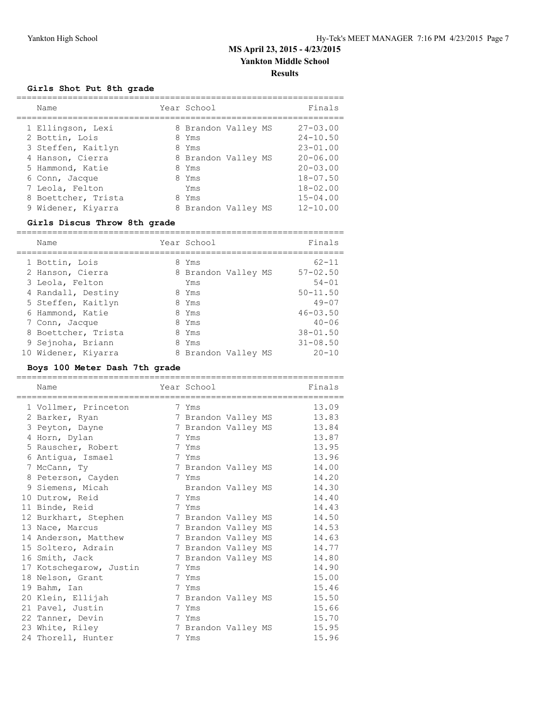### **Girls Shot Put 8th grade**

| Name                                                         | Year School                           |  | Finals                                       |
|--------------------------------------------------------------|---------------------------------------|--|----------------------------------------------|
| 1 Ellingson, Lexi<br>2 Bottin, Lois<br>3 Steffen, Kaitlyn    | 8 Brandon Valley MS<br>8 Yms<br>8 Yms |  | $27 - 03.00$<br>$24 - 10.50$<br>$23 - 01.00$ |
| 4 Hanson, Cierra<br>5 Hammond, Katie<br>6 Conn, Jacque       | 8 Brandon Valley MS<br>8 Yms<br>8 Yms |  | $20 - 06.00$<br>$20 - 03.00$<br>$18 - 07.50$ |
| 7 Leola, Felton<br>8 Boettcher, Trista<br>9 Widener, Kiyarra | Yms<br>8 Yms<br>8 Brandon Valley MS   |  | $18 - 02.00$<br>$15 - 04.00$<br>$12 - 10.00$ |

### **Girls Discus Throw 8th grade**

|  | Name                | Year School         | Finals       |
|--|---------------------|---------------------|--------------|
|  | 1 Bottin, Lois      | 8 Yms               | $62 - 11$    |
|  | 2 Hanson, Cierra    | 8 Brandon Valley MS | $57 - 02.50$ |
|  | 3 Leola, Felton     | Yms                 | $54 - 01$    |
|  | 4 Randall, Destiny  | 8 Yms               | $50 - 11.50$ |
|  | 5 Steffen, Kaitlyn  | 8 Yms               | $49 - 07$    |
|  | 6 Hammond, Katie    | 8 Yms               | $46 - 03.50$ |
|  | 7 Conn, Jacque      | 8 Yms               | $40 - 06$    |
|  | 8 Boettcher, Trista | 8 Yms               | $38 - 01.50$ |
|  | 9 Sejnoha, Briann   | 8 Yms               | $31 - 08.50$ |
|  | 10 Widener, Kiyarra | 8 Brandon Valley MS | $20 - 10$    |
|  |                     |                     |              |

### **Boys 100 Meter Dash 7th grade**

| Name                                   | Year School         |                        | Finals |
|----------------------------------------|---------------------|------------------------|--------|
| --------------<br>1 Vollmer, Princeton | 7 Yms               | ---------------------- | 13.09  |
| 2 Barker, Ryan                         | 7 Brandon Valley MS |                        | 13.83  |
| 3 Peyton, Dayne                        | 7 Brandon Valley MS |                        | 13.84  |
| 4 Horn, Dylan                          | 7 Yms               |                        | 13.87  |
| 5 Rauscher, Robert                     | 7 Yms               |                        | 13.95  |
| 6 Antigua, Ismael                      | 7 Yms               |                        | 13.96  |
| 7 McCann, Ty                           | 7 Brandon Valley MS |                        | 14.00  |
| 8 Peterson, Cayden                     | 7 Yms               |                        | 14.20  |
| 9 Siemens, Micah                       | Brandon Valley MS   |                        | 14.30  |
| 10 Dutrow, Reid                        | 7 Yms               |                        | 14.40  |
| 11 Binde, Reid                         | 7 Yms               |                        | 14.43  |
| 12 Burkhart, Stephen                   | 7 Brandon Valley MS |                        | 14.50  |
| 13 Nace, Marcus                        | 7 Brandon Valley MS |                        | 14.53  |
| 14 Anderson, Matthew                   | 7 Brandon Valley MS |                        | 14.63  |
| 15 Soltero, Adrain                     | 7 Brandon Valley MS |                        | 14.77  |
| 16 Smith, Jack                         | 7 Brandon Valley MS |                        | 14.80  |
| 17 Kotschegarow, Justin                | 7 Yms               |                        | 14.90  |
| 18 Nelson, Grant                       | 7 Yms               |                        | 15.00  |
| 19 Bahm, Ian                           | 7 Yms               |                        | 15.46  |
| 20 Klein, Ellijah                      | 7 Brandon Valley MS |                        | 15.50  |
| 21 Pavel, Justin                       | 7 Yms               |                        | 15.66  |
| 22 Tanner, Devin                       | 7 Yms               |                        | 15.70  |
| 23 White, Riley                        | 7 Brandon Valley MS |                        | 15.95  |
| 24 Thorell, Hunter                     | 7 Yms               |                        | 15.96  |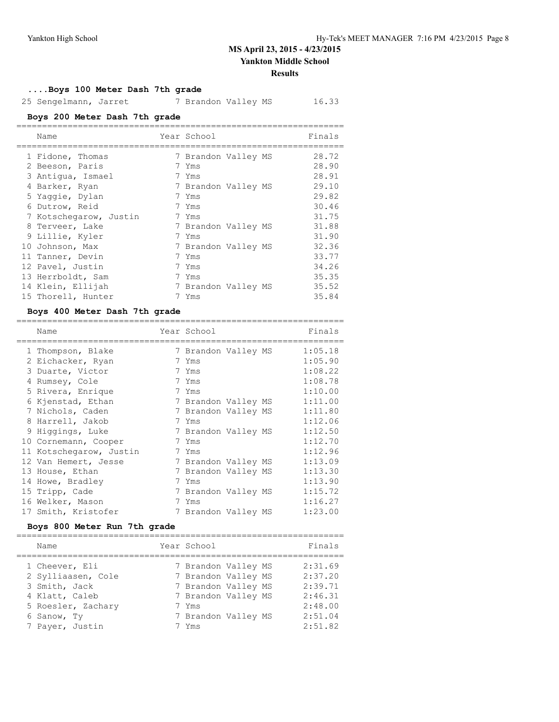#### **Results**

### **....Boys 100 Meter Dash 7th grade**

25 Sengelmann, Jarret 7 Brandon Valley MS 16.33

### **Boys 200 Meter Dash 7th grade**

| Name                   | Year School         | Finals |
|------------------------|---------------------|--------|
| 1 Fidone, Thomas       | 7 Brandon Valley MS | 28.72  |
| 2 Beeson, Paris        | 7 Yms               | 28.90  |
| 3 Antiqua, Ismael      | 7 Yms               | 28.91  |
| 4 Barker, Ryan         | 7 Brandon Valley MS | 29.10  |
| 5 Yaqqie, Dylan        | 7 Yms               | 29.82  |
| 6 Dutrow, Reid         | 7 Yms               | 30.46  |
| 7 Kotschegarow, Justin | 7 Yms               | 31.75  |
| 8 Terveer, Lake        | 7 Brandon Valley MS | 31.88  |
| 9 Lillie, Kyler        | 7 Yms               | 31.90  |
| 10 Johnson, Max        | 7 Brandon Valley MS | 32.36  |
| 11 Tanner, Devin       | 7 Yms               | 33.77  |
| 12 Pavel, Justin       | 7 Yms               | 34.26  |
| 13 Herrboldt, Sam      | 7 Yms               | 35.35  |
| 14 Klein, Ellijah      | 7 Brandon Valley MS | 35.52  |
| 15 Thorell, Hunter     | 7 Yms               | 35.84  |
|                        |                     |        |

### **Boys 400 Meter Dash 7th grade**

| Name                    |                      | Year School         |  | Finals  |
|-------------------------|----------------------|---------------------|--|---------|
| 1 Thompson, Blake       |                      | 7 Brandon Valley MS |  | 1:05.18 |
| 2 Eichacker, Ryan       | 7                    | Yms                 |  | 1:05.90 |
| 3 Duarte, Victor        |                      | 7 Yms               |  | 1:08.22 |
| 4 Rumsey, Cole          |                      | 7 Yms               |  | 1:08.78 |
| 5 Rivera, Enrique       |                      | 7 Yms               |  | 1:10.00 |
| 6 Kjenstad, Ethan       |                      | 7 Brandon Valley MS |  | 1:11.00 |
| 7 Nichols, Caden        |                      | 7 Brandon Valley MS |  | 1:11.80 |
| 8 Harrell, Jakob        |                      | 7 Yms               |  | 1:12.06 |
| 9 Higgings, Luke        |                      | 7 Brandon Valley MS |  | 1:12.50 |
| 10 Cornemann, Cooper    | 7                    | Yms                 |  | 1:12.70 |
| 11 Kotschegarow, Justin |                      | 7 Yms               |  | 1:12.96 |
| 12 Van Hemert, Jesse    |                      | 7 Brandon Valley MS |  | 1:13.09 |
| 13 House, Ethan         |                      | 7 Brandon Valley MS |  | 1:13.30 |
| 14 Howe, Bradley        | $\frac{1}{\sqrt{2}}$ | Yms                 |  | 1:13.90 |
| 15 Tripp, Cade          |                      | 7 Brandon Valley MS |  | 1:15.72 |
| 16 Welker, Mason        |                      | 7 Yms               |  | 1:16.27 |
| 17 Smith, Kristofer     |                      | 7 Brandon Valley MS |  | 1:23.00 |

### **Boys 800 Meter Run 7th grade**

| Name                                                                                                         | Year School                                                                                                              | Finals                                                         |
|--------------------------------------------------------------------------------------------------------------|--------------------------------------------------------------------------------------------------------------------------|----------------------------------------------------------------|
| 1 Cheever, Eli<br>2 Sylliaasen, Cole<br>3 Smith, Jack<br>4 Klatt, Caleb<br>5 Roesler, Zachary<br>6 Sanow, Ty | 7 Brandon Valley MS<br>7 Brandon Valley MS<br>7 Brandon Valley MS<br>7 Brandon Valley MS<br>7 Yms<br>7 Brandon Valley MS | 2:31.69<br>2:37.20<br>2:39.71<br>2:46.31<br>2:48.00<br>2:51.04 |
| 7 Payer, Justin                                                                                              | 7 Yms                                                                                                                    | 2:51.82                                                        |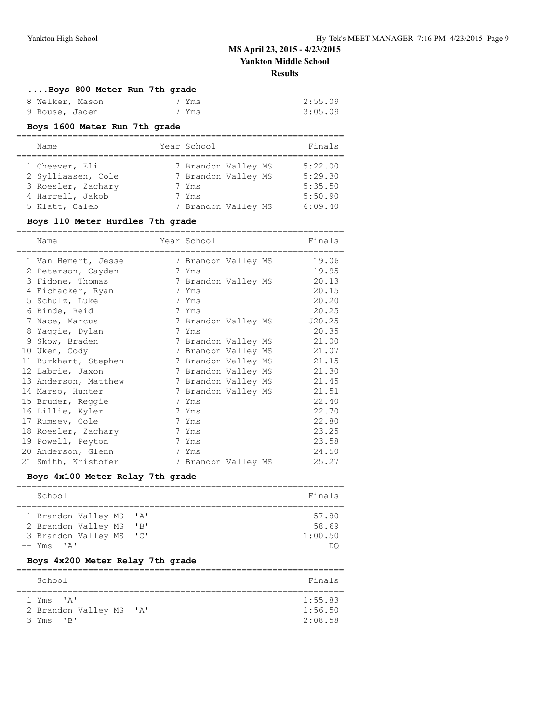# **....Boys 800 Meter Run 7th grade**

| 8 Welker, Mason | 7 Yms | 2:55.09 |
|-----------------|-------|---------|
| 9 Rouse, Jaden  | 7 Yms | 3:05.09 |

### **Boys 1600 Meter Run 7th grade**

| Name               | Year School         | Finals  |
|--------------------|---------------------|---------|
|                    |                     |         |
| 1 Cheever, Eli     | 7 Brandon Valley MS | 5:22.00 |
| 2 Sylliaasen, Cole | 7 Brandon Valley MS | 5:29.30 |
| 3 Roesler, Zachary | 7 Yms               | 5:35.50 |
| 4 Harrell, Jakob   | 7 Yms               | 5:50.90 |
| 5 Klatt, Caleb     | 7 Brandon Valley MS | 6:09.40 |

### **Boys 110 Meter Hurdles 7th grade**

| Name                 | Year School         |  | Finals |
|----------------------|---------------------|--|--------|
| 1 Van Hemert, Jesse  | 7 Brandon Valley MS |  | 19.06  |
| 2 Peterson, Cayden   | 7 Yms               |  | 19.95  |
| 3 Fidone, Thomas     | 7 Brandon Valley MS |  | 20.13  |
| 4 Eichacker, Ryan    | 7 Yms               |  | 20.15  |
| 5 Schulz, Luke       | 7 Yms               |  | 20.20  |
| 6 Binde, Reid        | 7 Yms               |  | 20.25  |
| 7 Nace, Marcus       | 7 Brandon Valley MS |  | J20.25 |
| 8 Yaqqie, Dylan      | 7 Yms               |  | 20.35  |
| 9 Skow, Braden       | 7 Brandon Valley MS |  | 21.00  |
| 10 Uken, Cody        | 7 Brandon Valley MS |  | 21.07  |
| 11 Burkhart, Stephen | 7 Brandon Valley MS |  | 21.15  |
| 12 Labrie, Jaxon     | 7 Brandon Valley MS |  | 21.30  |
| 13 Anderson, Matthew | 7 Brandon Valley MS |  | 21.45  |
| 14 Marso, Hunter     | 7 Brandon Valley MS |  | 21.51  |
| 15 Bruder, Reggie    | 7 Yms               |  | 22.40  |
| 16 Lillie, Kyler     | 7 Yms               |  | 22.70  |
| 17 Rumsey, Cole      | 7 Yms               |  | 22.80  |
| 18 Roesler, Zachary  | 7 Yms               |  | 23.25  |
| 19 Powell, Peyton    | 7 Yms               |  | 23.58  |
| 20 Anderson, Glenn   | 7 Yms               |  | 24.50  |
| 21 Smith, Kristofer  | 7 Brandon Valley MS |  | 25.27  |
|                      |                     |  |        |

### **Boys 4x100 Meter Relay 7th grade**

| School              |  |                           | Finals  |
|---------------------|--|---------------------------|---------|
|                     |  |                           |         |
| 1 Brandon Valley MS |  | $^{\prime}$ A $^{\prime}$ | 57.80   |
| 2 Brandon Valley MS |  | $'$ B                     | 58.69   |
| 3 Brandon Valley MS |  | $\overline{\phantom{a}}$  | 1:00.50 |
| $--$ Yms $'A'$      |  |                           |         |

#### **Boys 4x200 Meter Relay 7th grade**

| School                                           | Finals             |
|--------------------------------------------------|--------------------|
|                                                  |                    |
| 1 Yms 'A'<br>2 Brandon Valley MS<br>$\mathsf{A}$ | 1:55.83<br>1:56.50 |
| 3 Yms<br>$^{\prime}$ R <sup>1</sup>              | 2:08.58            |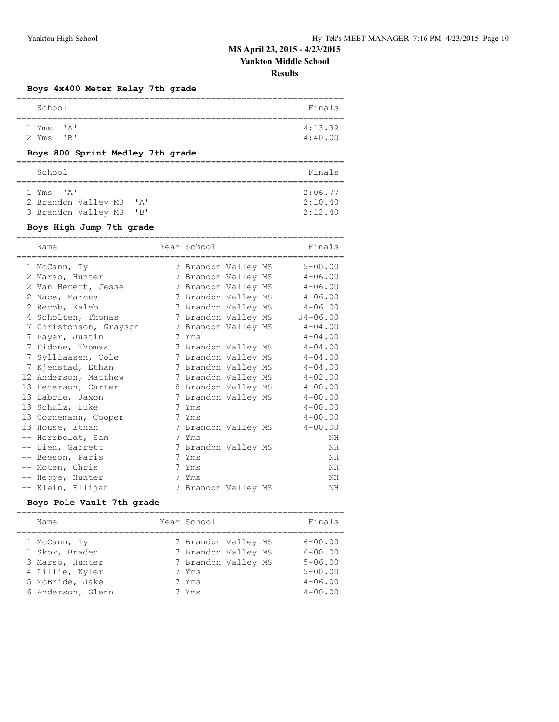# **MS April 23, 2015 - 4/23/2015**

**Yankton Middle School**

**Results**

### **Boys 4x400 Meter Relay 7th grade**

| School    |                            | Finals  |
|-----------|----------------------------|---------|
|           |                            |         |
| 1 Yms 'A' |                            | 4:13.39 |
| 2 Yms     | $^{\prime}$ B <sup>1</sup> | 4:40.00 |
|           |                            |         |

### **Boys 800 Sprint Medley 7th grade**

| School                        |          | Finals  |
|-------------------------------|----------|---------|
|                               |          |         |
| $1 \text{ Yms}$ $1 \text{ A}$ |          | 2:06.77 |
| 2 Brandon Valley MS           | ' A'     | 2:10.40 |
| 3 Brandon Valley MS           | $'$ $R'$ | 2:12.40 |

### **Boys High Jump 7th grade**

| Name                   | Year School         |  | Finals       |
|------------------------|---------------------|--|--------------|
| 1 McCann, Ty           | 7 Brandon Valley MS |  | $5 - 00.00$  |
| 2 Marso, Hunter        | 7 Brandon Valley MS |  | $4 - 06.00$  |
| 2 Van Hemert, Jesse    | 7 Brandon Valley MS |  | $4 - 06.00$  |
| 2 Nace, Marcus         | 7 Brandon Valley MS |  | $4 - 06.00$  |
| 2 Recob, Kaleb         | 7 Brandon Valley MS |  | $4 - 06.00$  |
| 4 Scholten, Thomas     | 7 Brandon Valley MS |  | $J4 - 06.00$ |
| 7 Christonson, Grayson | 7 Brandon Valley MS |  | $4 - 04.00$  |
| 7 Payer, Justin        | 7 Yms               |  | $4 - 04.00$  |
| 7 Fidone, Thomas       | 7 Brandon Valley MS |  | $4 - 04.00$  |
| 7 Sylliaasen, Cole     | 7 Brandon Valley MS |  | $4 - 04.00$  |
| 7 Kjenstad, Ethan      | 7 Brandon Valley MS |  | $4 - 04.00$  |
| 12 Anderson, Matthew   | 7 Brandon Valley MS |  | $4 - 02.00$  |
| 13 Peterson, Carter    | 8 Brandon Valley MS |  | $4 - 00.00$  |
| 13 Labrie, Jaxon       | 7 Brandon Valley MS |  | $4 - 00.00$  |
| 13 Schulz, Luke        | 7 Yms               |  | $4 - 00.00$  |
| 13 Cornemann, Cooper   | 7 Yms               |  | $4 - 00.00$  |
| 13 House, Ethan        | 7 Brandon Valley MS |  | $4 - 00.00$  |
| -- Herrboldt, Sam      | 7 Yms               |  | ΝH           |
| -- Lien, Garrett       | 7 Brandon Valley MS |  | ΝH           |
| -- Beeson, Paris       | 7 Yms               |  | ΝH           |
| -- Moten, Chris        | 7 Yms               |  | ΝH           |
| -- Hegge, Hunter       | 7 Yms               |  | ΝH           |
| -- Klein, Ellijah      | 7 Brandon Valley MS |  | NH           |

### **Boys Pole Vault 7th grade**

| Finals      |
|-------------|
| $6 - 00.00$ |
| $6 - 00.00$ |
| $5 - 06.00$ |
| $5 - 00.00$ |
| $4 - 06.00$ |
| $4 - 00.00$ |
|             |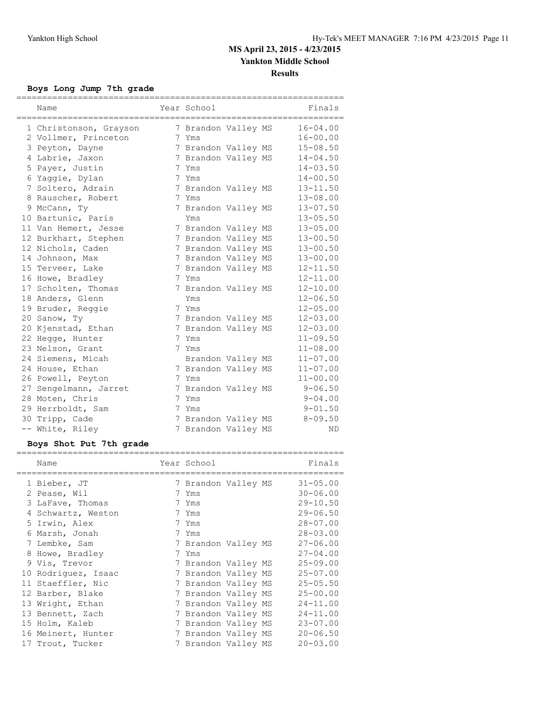## **Boys Long Jump 7th grade**

| Name                   | Year School         |  | Finals       |
|------------------------|---------------------|--|--------------|
| 1 Christonson, Grayson | 7 Brandon Valley MS |  | $16 - 04.00$ |
| 2 Vollmer, Princeton   | 7 Yms               |  | $16 - 00.00$ |
| 3 Peyton, Dayne        | 7 Brandon Valley MS |  | $15 - 08.50$ |
| 4 Labrie, Jaxon        | 7 Brandon Valley MS |  | $14 - 04.50$ |
| 5 Payer, Justin        | 7 Yms               |  | $14 - 03.50$ |
| 6 Yaqqie, Dylan        | 7 Yms               |  | $14 - 00.50$ |
| 7 Soltero, Adrain      | 7 Brandon Valley MS |  | $13 - 11.50$ |
| 8 Rauscher, Robert     | 7 Yms               |  | $13 - 08.00$ |
| 9 McCann, Ty           | 7 Brandon Valley MS |  | $13 - 07.50$ |
| 10 Bartunic, Paris     | Yms                 |  | $13 - 05.50$ |
| 11 Van Hemert, Jesse   | 7 Brandon Valley MS |  | $13 - 05.00$ |
| 12 Burkhart, Stephen   | 7 Brandon Valley MS |  | $13 - 00.50$ |
| 12 Nichols, Caden      | 7 Brandon Valley MS |  | $13 - 00.50$ |
| 14 Johnson, Max        | 7 Brandon Valley MS |  | $13 - 00.00$ |
| 15 Terveer, Lake       | 7 Brandon Valley MS |  | $12 - 11.50$ |
| 16 Howe, Bradley       | 7 Yms               |  | $12 - 11.00$ |
| 17 Scholten, Thomas    | 7 Brandon Valley MS |  | $12 - 10.00$ |
| 18 Anders, Glenn       | Yms                 |  | $12 - 06.50$ |
| 19 Bruder, Reggie      | 7 Yms               |  | $12 - 05.00$ |
| 20 Sanow, Ty           | 7 Brandon Valley MS |  | $12 - 03.00$ |
| 20 Kjenstad, Ethan     | 7 Brandon Valley MS |  | $12 - 03.00$ |
| 22 Hegge, Hunter       | 7 Yms               |  | $11 - 09.50$ |
| 23 Nelson, Grant       | 7 Yms               |  | $11 - 08.00$ |
| 24 Siemens, Micah      | Brandon Valley MS   |  | $11 - 07.00$ |
| 24 House, Ethan        | 7 Brandon Valley MS |  | $11 - 07.00$ |
| 26 Powell, Peyton      | 7 Yms               |  | $11 - 00.00$ |
| 27 Sengelmann, Jarret  | 7 Brandon Valley MS |  | $9 - 06.50$  |
| 28 Moten, Chris        | 7 Yms               |  | $9 - 04.00$  |
| 29 Herrboldt, Sam      | 7 Yms               |  | $9 - 01.50$  |
| 30 Tripp, Cade         | 7 Brandon Valley MS |  | $8 - 09.50$  |
| -- White, Riley        | 7 Brandon Valley MS |  | ΝD           |

### **Boys Shot Put 7th grade**

| Name                |               | Year School         |  | Finals       |
|---------------------|---------------|---------------------|--|--------------|
| 1 Bieber, JT        |               | 7 Brandon Valley MS |  | $31 - 05.00$ |
| 2 Pease, Wil        | $\frac{1}{2}$ | Yms                 |  | $30 - 06.00$ |
| 3 LaFave, Thomas    |               | 7 Yms               |  | $29 - 10.50$ |
| 4 Schwartz, Weston  |               | 7 Yms               |  | $29 - 06.50$ |
| 5 Irwin, Alex       |               | 7 Yms               |  | $28 - 07.00$ |
| 6 Marsh, Jonah      |               | 7 Yms               |  | $28 - 03.00$ |
| 7 Lembke, Sam       |               | 7 Brandon Valley MS |  | $27 - 06.00$ |
| 8 Howe, Bradley     |               | 7 Yms               |  | $27 - 04.00$ |
| 9 Vis, Trevor       |               | 7 Brandon Valley MS |  | $25 - 09.00$ |
| 10 Rodriguez, Isaac |               | 7 Brandon Valley MS |  | $25 - 07.00$ |
| 11 Staeffler, Nic   |               | 7 Brandon Valley MS |  | $25 - 05.50$ |
| 12 Barber, Blake    |               | 7 Brandon Valley MS |  | $25 - 00.00$ |
| 13 Wright, Ethan    |               | 7 Brandon Valley MS |  | $24 - 11.00$ |
| 13 Bennett, Zach    |               | 7 Brandon Valley MS |  | $24 - 11.00$ |
| 15 Holm, Kaleb      |               | 7 Brandon Valley MS |  | $23 - 07.00$ |
| 16 Meinert, Hunter  |               | 7 Brandon Valley MS |  | $20 - 06.50$ |
| 17 Trout, Tucker    |               | 7 Brandon Valley MS |  | $20 - 03.00$ |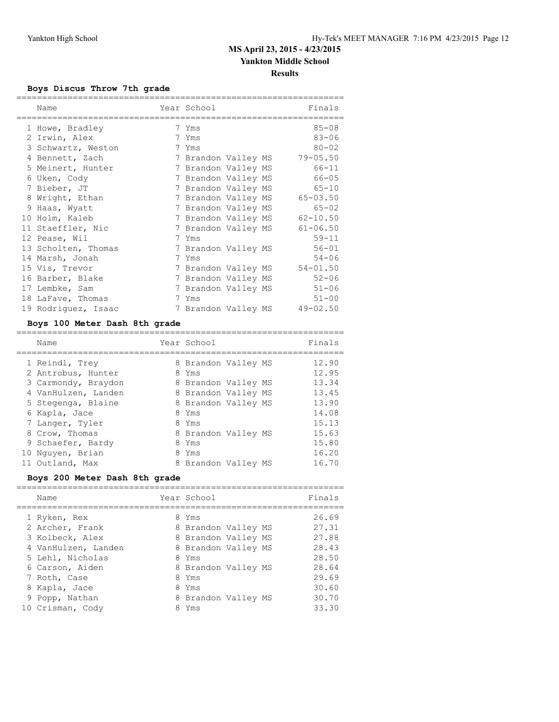### **Boys Discus Throw 7th grade**

| Name                | Year School         |  | Finals       |
|---------------------|---------------------|--|--------------|
| 1 Howe, Bradley     | 7 Yms               |  | $85 - 08$    |
| 2 Irwin, Alex       | 7 Yms               |  | $83 - 06$    |
| 3 Schwartz, Weston  | 7 Yms               |  | $80 - 02$    |
| 4 Bennett, Zach     | 7 Brandon Valley MS |  | $79 - 05.50$ |
| 5 Meinert, Hunter   | 7 Brandon Valley MS |  | $66 - 11$    |
| 6 Uken, Cody        | 7 Brandon Valley MS |  | $66 - 05$    |
| 7 Bieber, JT        | 7 Brandon Valley MS |  | $65 - 10$    |
| 8 Wright, Ethan     | 7 Brandon Valley MS |  | $65 - 03.50$ |
| 9 Haas, Wyatt       | 7 Brandon Valley MS |  | $65 - 02$    |
| 10 Holm, Kaleb      | 7 Brandon Valley MS |  | $62 - 10.50$ |
| 11 Staeffler, Nic   | 7 Brandon Valley MS |  | $61 - 06.50$ |
| 12 Pease, Wil       | 7 Yms               |  | $59 - 11$    |
| 13 Scholten, Thomas | 7 Brandon Valley MS |  | $56 - 01$    |
| 14 Marsh, Jonah     | 7 Yms               |  | $54 - 06$    |
| 15 Vis, Trevor      | 7 Brandon Valley MS |  | $54 - 01.50$ |
| 16 Barber, Blake    | 7 Brandon Valley MS |  | $52 - 06$    |
| 17 Lembke, Sam      | 7 Brandon Valley MS |  | $51 - 06$    |
| 18 LaFave, Thomas   | 7 Yms               |  | $51 - 00$    |
| 19 Rodriquez, Isaac | 7 Brandon Valley MS |  | $49 - 02.50$ |

### **Boys 100 Meter Dash 8th grade**

|  | Name                                                        | Year School                                         |  | Finals                  |
|--|-------------------------------------------------------------|-----------------------------------------------------|--|-------------------------|
|  | 1 Reindl, Trev<br>2 Antrobus, Hunter<br>3 Carmondy, Braydon | 8 Brandon Valley MS<br>8 Yms<br>8 Brandon Valley MS |  | 12.90<br>12.95<br>13.34 |
|  | 4 VanHulzen, Landen                                         | 8 Brandon Valley MS                                 |  | 13.45                   |
|  | 5 Stegenga, Blaine<br>6 Kapla, Jace                         | 8 Brandon Valley MS<br>8 Yms                        |  | 13.90<br>14.08          |
|  | 7 Langer, Tyler                                             | 8 Yms                                               |  | 15.13                   |
|  | 8 Crow, Thomas                                              | 8 Brandon Valley MS                                 |  | 15.63                   |
|  | 9 Schaefer, Bardy<br>10 Nguyen, Brian                       | 8 Yms<br>8 Yms                                      |  | 15.80<br>16.20          |
|  | 11 Outland, Max                                             | 8 Brandon Valley MS                                 |  | 16.70                   |
|  |                                                             |                                                     |  |                         |

### **Boys 200 Meter Dash 8th grade**

|  | Name                | Year School         | Finals |
|--|---------------------|---------------------|--------|
|  | 1 Ryken, Rex        | 8 Yms               | 26.69  |
|  | 2 Archer, Frank     | 8 Brandon Valley MS | 27.31  |
|  | 3 Kolbeck, Alex     | 8 Brandon Valley MS | 27.88  |
|  | 4 VanHulzen, Landen | 8 Brandon Valley MS | 28.43  |
|  | 5 Lehl, Nicholas    | 8 Yms               | 28.50  |
|  | 6 Carson, Aiden     | 8 Brandon Valley MS | 28.64  |
|  | 7 Roth, Case        | 8 Yms               | 29.69  |
|  | 8 Kapla, Jace       | 8 Yms               | 30.60  |
|  | 9 Popp, Nathan      | 8 Brandon Valley MS | 30.70  |
|  | 10 Crisman, Cody    | Yms                 | 33.30  |
|  |                     |                     |        |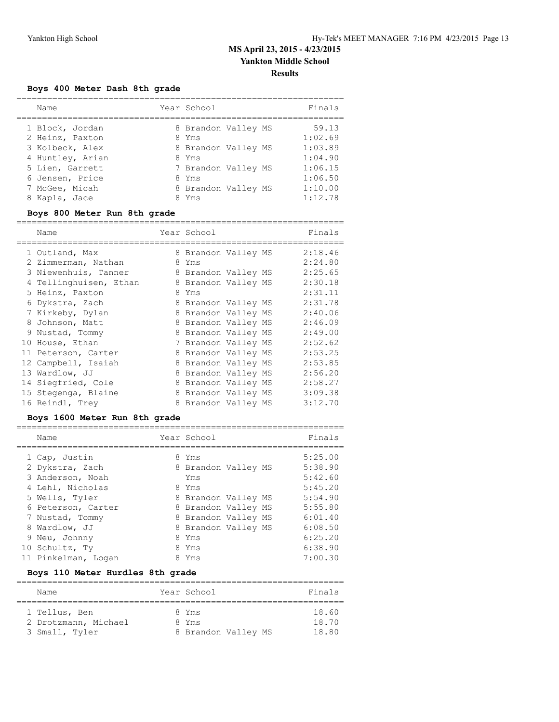### **Boys 400 Meter Dash 8th grade**

| Name             | Year School         | Finals  |
|------------------|---------------------|---------|
| 1 Block, Jordan  | 8 Brandon Valley MS | 59.13   |
| 2 Heinz, Paxton  | 8 Yms               | 1:02.69 |
| 3 Kolbeck, Alex  | 8 Brandon Valley MS | 1:03.89 |
| 4 Huntley, Arian | 8 Yms               | 1:04.90 |
| 5 Lien, Garrett  | 7 Brandon Valley MS | 1:06.15 |
| 6 Jensen, Price  | 8 Yms               | 1:06.50 |
| 7 McGee, Micah   | 8 Brandon Valley MS | 1:10.00 |
| 8 Kapla, Jace    | 8 Yms               | 1:12.78 |

### **Boys 800 Meter Run 8th grade**

| Name                   |    | Year School         |  | Finals  |
|------------------------|----|---------------------|--|---------|
| 1 Outland, Max         |    | 8 Brandon Valley MS |  | 2:18.46 |
| 2 Zimmerman, Nathan    | 8. | Yms                 |  | 2:24.80 |
| 3 Niewenhuis, Tanner   |    | 8 Brandon Valley MS |  | 2:25.65 |
| 4 Tellinghuisen, Ethan |    | 8 Brandon Valley MS |  | 2:30.18 |
| 5 Heinz, Paxton        | 8  | Yms                 |  | 2:31.11 |
| 6 Dykstra, Zach        |    | 8 Brandon Valley MS |  | 2:31.78 |
| 7 Kirkeby, Dylan       |    | 8 Brandon Valley MS |  | 2:40.06 |
| 8 Johnson, Matt        |    | 8 Brandon Valley MS |  | 2:46.09 |
| 9 Nustad, Tommy        |    | 8 Brandon Valley MS |  | 2:49.00 |
| 10 House, Ethan        |    | 7 Brandon Valley MS |  | 2:52.62 |
| 11 Peterson, Carter    |    | 8 Brandon Valley MS |  | 2:53.25 |
| 12 Campbell, Isaiah    |    | 8 Brandon Valley MS |  | 2:53.85 |
| 13 Wardlow, JJ         |    | 8 Brandon Valley MS |  | 2:56.20 |
| 14 Siegfried, Cole     |    | 8 Brandon Valley MS |  | 2:58.27 |
| 15 Stegenga, Blaine    |    | 8 Brandon Valley MS |  | 3:09.38 |
| 16 Reindl, Trey        |    | 8 Brandon Valley MS |  | 3:12.70 |

### **Boys 1600 Meter Run 8th grade**

| Name                | Year School         | Finals  |
|---------------------|---------------------|---------|
| 1 Cap, Justin       | 8 Yms               | 5:25.00 |
| 2 Dykstra, Zach     | 8 Brandon Valley MS | 5:38.90 |
| 3 Anderson, Noah    | Yms                 | 5:42.60 |
| 4 Lehl, Nicholas    | 8 Yms               | 5:45.20 |
| 5 Wells, Tyler      | 8 Brandon Valley MS | 5:54.90 |
| 6 Peterson, Carter  | 8 Brandon Valley MS | 5:55.80 |
| 7 Nustad, Tommy     | 8 Brandon Valley MS | 6:01.40 |
| 8 Wardlow, JJ       | 8 Brandon Valley MS | 6:08.50 |
| 9 Neu, Johnny       | 8 Yms               | 6:25.20 |
| 10 Schultz, Ty      | 8 Yms               | 6:38.90 |
| 11 Pinkelman, Logan | Yms                 | 7:00.30 |

### **Boys 110 Meter Hurdles 8th grade**

| Name                 |  | Year School         | Finals |  |  |  |  |  |
|----------------------|--|---------------------|--------|--|--|--|--|--|
| 1 Tellus, Ben        |  | 8 Yms               | 18.60  |  |  |  |  |  |
| 2 Drotzmann, Michael |  | 8 Yms               | 18.70  |  |  |  |  |  |
| 3 Small, Tyler       |  | 8 Brandon Valley MS | 18.80  |  |  |  |  |  |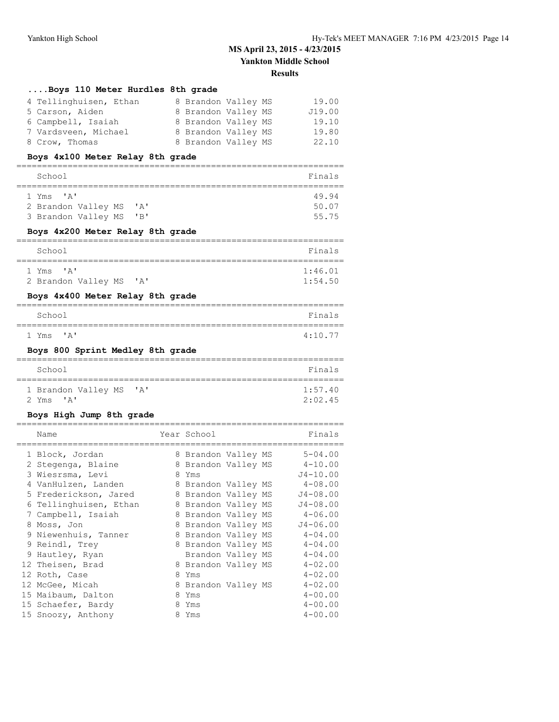| Boys 110 Meter Hurdles 8th grade                                   |                              |                            |
|--------------------------------------------------------------------|------------------------------|----------------------------|
| 4 Tellinghuisen, Ethan                                             | 8 Brandon Valley MS          | 19.00                      |
| 5 Carson, Aiden                                                    | 8 Brandon Valley MS          | J19.00                     |
| 6 Campbell, Isaiah                                                 | 8 Brandon Valley MS          | 19.10                      |
| 7 Vardsveen, Michael                                               | 8 Brandon Valley MS          | 19.80                      |
| 8 Crow, Thomas                                                     | 8 Brandon Valley MS          | 22.10                      |
| Boys 4x100 Meter Relay 8th grade                                   |                              |                            |
| =================                                                  |                              |                            |
| School<br>===========                                              |                              | Finals<br>=========        |
| 1 Yms<br>' A '                                                     |                              | 49.94                      |
| 2 Brandon Valley MS<br>' A'                                        |                              | 50.07                      |
| 3 Brandon Valley MS<br>"B"                                         |                              | 55.75                      |
| Boys 4x200 Meter Relay 8th grade                                   |                              |                            |
| School                                                             |                              | Finals                     |
| ==============<br>1 Yms 'A'                                        |                              | --------<br>1:46.01        |
| 2 Brandon Valley MS 'A'                                            |                              | 1:54.50                    |
| Boys 4x400 Meter Relay 8th grade                                   |                              |                            |
| School                                                             |                              | Finals                     |
| =========                                                          |                              |                            |
| $1 \text{ Yms}$ $\lambda$ '                                        |                              | 4:10.77                    |
|                                                                    |                              |                            |
| Boys 800 Sprint Medley 8th grade                                   |                              |                            |
| School                                                             |                              | Finals                     |
| ===========================                                        |                              | ====================       |
| 1 Brandon Valley MS<br>$^{\prime}$ A $^{\prime}$<br>2 Yms<br>' A ' |                              | 1:57.40<br>2:02.45         |
| Boys High Jump 8th grade                                           |                              |                            |
| -----------------------------------                                |                              |                            |
| Name                                                               | Year School<br>:========     | Finals                     |
| 1 Block, Jordan                                                    | 8 Brandon Valley MS          | $5 - 04.00$                |
| 2 Stegenga, Blaine                                                 | 8 Brandon Valley MS          | 4-10.00                    |
| 3 Wiesrsma, Levi                                                   | 8 Yms                        | $J4 - 10.00$               |
| 4 VanHulzen, Landen                                                | 8 Brandon Valley MS          | $4 - 08.00$                |
| 5 Frederickson, Jared                                              | 8 Brandon Valley MS          | $J4 - 08.00$               |
| 6 Tellinghuisen, Ethan                                             | 8 Brandon Valley MS          | $J4 - 08.00$               |
| 7 Campbell, Isaiah                                                 | 8 Brandon Valley MS          | $4 - 06.00$                |
| 8 Moss, Jon                                                        | 8 Brandon Valley MS          | $J4 - 06.00$               |
| 9 Niewenhuis, Tanner                                               | 8 Brandon Valley MS          | $4 - 04.00$                |
| 9 Reindl, Trey                                                     | 8 Brandon Valley MS          | $4 - 04.00$                |
| 9 Hautley, Ryan                                                    | Brandon Valley MS            | $4 - 04.00$<br>$4 - 02.00$ |
| 12 Theisen, Brad                                                   | 8 Brandon Valley MS<br>8 Yms | $4 - 02.00$                |
| 12 Roth, Case<br>12 McGee, Micah                                   | 8 Brandon Valley MS          | $4 - 02.00$                |

 15 Schaefer, Bardy 8 Yms 4-00.00 15 Snoozy, Anthony 8 Yms 4-00.00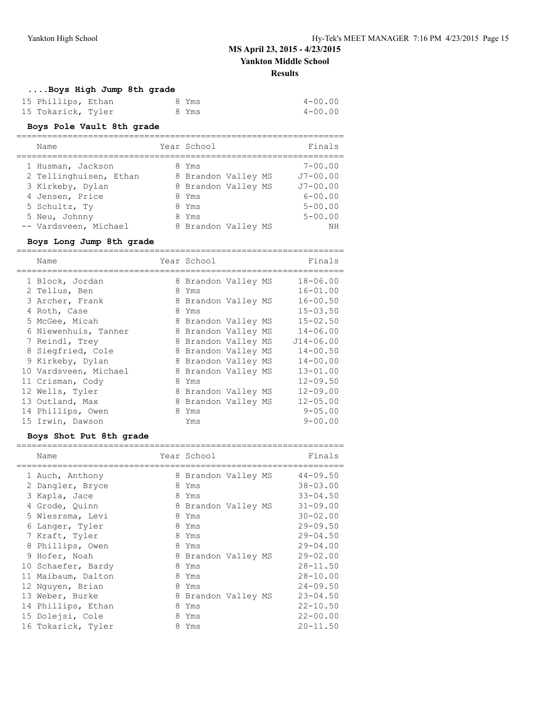#### **....Boys High Jump 8th grade**

| 15 Phillips, Ethan |  | 8 Yms | $4 - 00.00$ |
|--------------------|--|-------|-------------|
| 15 Tokarick, Tyler |  | 8 Yms | 4-00.00     |

#### **Boys Pole Vault 8th grade**

| Name                   | Year School         |  | Finals       |
|------------------------|---------------------|--|--------------|
| 1 Husman, Jackson      | 8 Yms               |  | $7 - 00.00$  |
| 2 Tellinghuisen, Ethan | 8 Brandon Valley MS |  | $J7 - 00.00$ |
| 3 Kirkeby, Dylan       | 8 Brandon Valley MS |  | $J7 - 00.00$ |
| 4 Jensen, Price        | 8 Yms               |  | $6 - 00.00$  |
| 5 Schultz, Ty          | 8 Yms               |  | $5 - 00.00$  |
| 5 Neu, Johnny          | 8 Yms               |  | $5 - 00.00$  |
| -- Vardsveen, Michael  | 8 Brandon Valley MS |  | NΗ           |

#### **Boys Long Jump 8th grade**

================================================================ Name **Year School** Finals ================================================================ 1 Block, Jordan 8 Brandon Valley MS 18-06.00 2 Tellus, Ben 8 Yms 16-01.00 3 Archer, Frank 8 Brandon Valley MS 16-00.50 4 Roth, Case 8 Yms 15-03.50 5 McGee, Micah 8 Brandon Valley MS 15-02.50 6 Niewenhuis, Tanner 8 Brandon Valley MS 14-06.00 7 Reindl, Trey 8 Brandon Valley MS J14-06.00 8 Siegfried, Cole 8 Brandon Valley MS 14-00.50 9 Kirkeby, Dylan 8 Brandon Valley MS 14-00.00 10 Vardsveen, Michael 8 Brandon Valley MS 13-01.00 11 Crisman, Cody 8 Yms 12-09.50 12 Wells, Tyler 8 Brandon Valley MS 12-09.00 13 Outland, Max 8 Brandon Valley MS 12-05.00 14 Phillips, Owen 8 Yms 8 9-05.00 15 Irwin, Dawson Yms 9-00.00

#### **Boys Shot Put 8th grade**

| Name               |   |     |             | Finals                                                                               |
|--------------------|---|-----|-------------|--------------------------------------------------------------------------------------|
| 1 Auch, Anthony    | 8 |     |             | $44 - 09.50$                                                                         |
| Dangler, Bryce     | 8 | Yms |             | $38 - 03.00$                                                                         |
| 3 Kapla, Jace      | 8 | Yms |             | $33 - 04.50$                                                                         |
| 4 Grode, Quinn     |   |     |             | $31 - 09.00$                                                                         |
| 5 Wiesrsma, Levi   | 8 | Yms |             | $30 - 02.00$                                                                         |
| Langer, Tyler      | 8 | Yms |             | $29 - 09.50$                                                                         |
| 7 Kraft, Tyler     | 8 | Yms |             | $29 - 04.50$                                                                         |
| 8 Phillips, Owen   | 8 | Yms |             | $29 - 04.00$                                                                         |
| 9 Hofer, Noah      |   |     |             | $29 - 02.00$                                                                         |
| 10 Schaefer, Bardy | 8 | Yms |             | $28 - 11.50$                                                                         |
| 11 Maibaum, Dalton | 8 | Yms |             | $28 - 10.00$                                                                         |
| 12 Nguyen, Brian   | 8 | Yms |             | $24 - 09.50$                                                                         |
| 13 Weber, Burke    | 8 |     |             | $23 - 04.50$                                                                         |
| 14 Phillips, Ethan | 8 | Yms |             | $22 - 10.50$                                                                         |
| 15 Dolejsi, Cole   | 8 | Yms |             | $22 - 00.00$                                                                         |
| 16 Tokarick, Tyler | 8 | Yms |             | $20 - 11.50$                                                                         |
|                    |   |     | Year School | Brandon Valley MS<br>8 Brandon Valley MS<br>8 Brandon Valley MS<br>Brandon Valley MS |